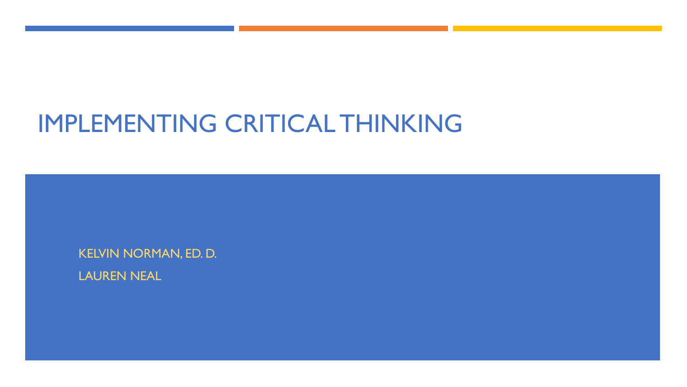# IMPLEMENTING CRITICAL THINKING

KELVIN NORMAN, ED. D.

LAUREN NEAL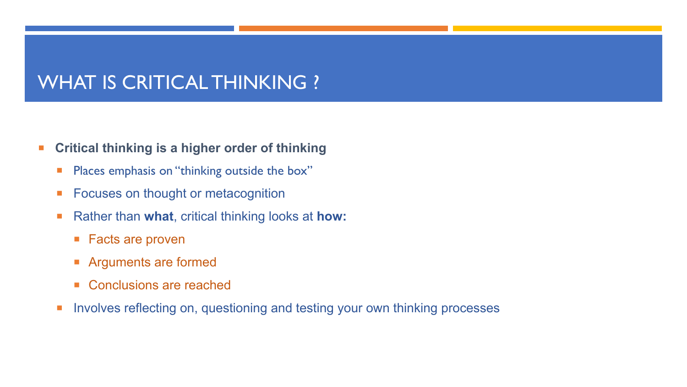## WHAT IS CRITICAL THINKING ?

#### ¡ **Critical thinking is a higher order of thinking**

- **Places emphasis on "thinking outside the box"**
- Focuses on thought or metacognition
- ¡ Rather than **what**, critical thinking looks at **how:**
	- Facts are proven
	- **EXPLORER IN Arguments are formed**
	- Conclusions are reached
- **EXTERN Involves reflecting on, questioning and testing your own thinking processes**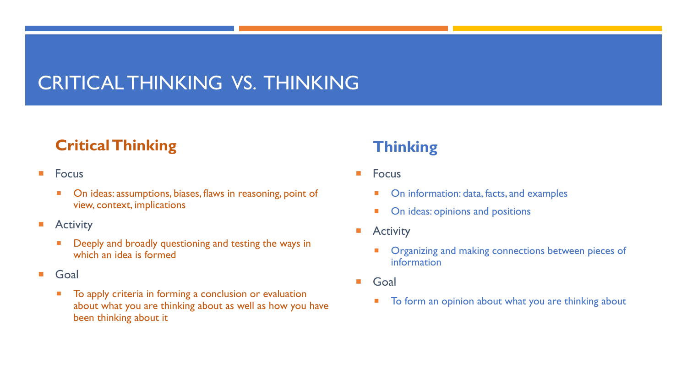## CRITICAL THINKING VS. THINKING

### **Critical Thinking**

- Focus
	- **On ideas: assumptions, biases, flaws in reasoning, point of** view, context, implications
- **E** Activity
	- Deeply and broadly questioning and testing the ways in which an idea is formed
- Goal
	- To apply criteria in forming a conclusion or evaluation about what you are thinking about as well as how you have been thinking about it

### **Thinking**

- **E** Focus
	- On information: data, facts, and examples
	- On ideas: opinions and positions
- **Activity** 
	- Organizing and making connections between pieces of information
- ¡ Goal
	- To form an opinion about what you are thinking about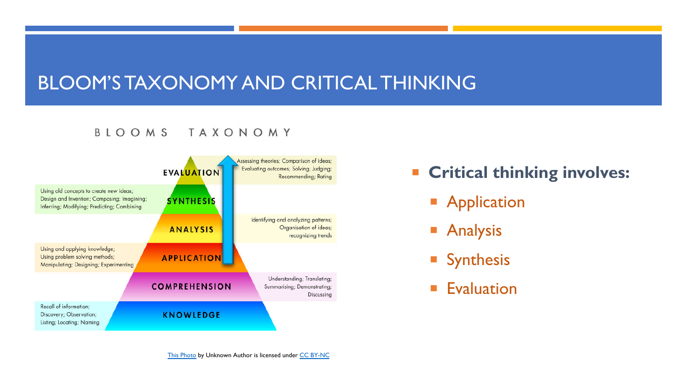### BLOOM'S TAXONOMY AND CRITICAL THINK

¡ **Critical thinking involves:**

 $\overline{\phantom{a}}$ 

 $\overline{\phantom{a}}$ 

 $\overline{\phantom{a}}$ 

 $\overline{\mathbb{R}}$ 

#### BLOOMS TAXONOMY

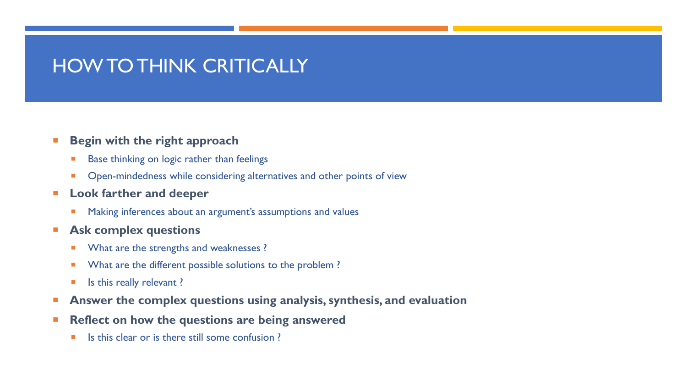### HOW TO THINK CRITICALLY

#### ¡ **Begin with the right approach**

- **EXECUTE:** Base thinking on logic rather than feelings
- **Open-mindedness while considering alternatives and other points of view**
- ¡ **Look farther and deeper**
	- **EXTERGHT Making inferences about an argument's assumptions and values**
- ¡ **Ask complex questions**
	- **No. 3** What are the strengths and weaknesses ?
	- **What are the different possible solutions to the problem?**
	- **Example 1** Is this really relevant?
- ¡ **Answer the complex questions using analysis, synthesis, and evaluation**
- ¡ **Reflect on how the questions are being answered**
	- Is this clear or is there still some confusion ?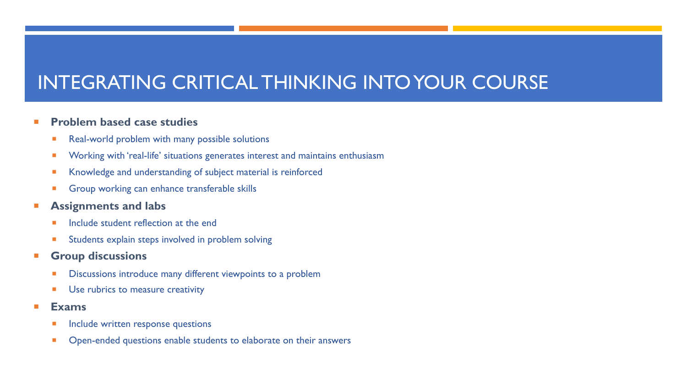## INTEGRATING CRITICAL THINKING INTO YOUR COURSE

#### ¡ **Problem based case studies**

- Real-world problem with many possible solutions
- **EXECTE:** Working with 'real-life' situations generates interest and maintains enthusiasm
- Knowledge and understanding of subject material is reinforced
- **Group working can enhance transferable skills**

#### ¡ **Assignments and labs**

- Include student reflection at the end
- Students explain steps involved in problem solving
- ¡ **Group discussions**
	- **EXEDENT Discussions introduce many different viewpoints to a problem**
	- **■** Use rubrics to measure creativity
- ¡ **Exams**
	- **Include written response questions**
	- Open-ended questions enable students to elaborate on their answers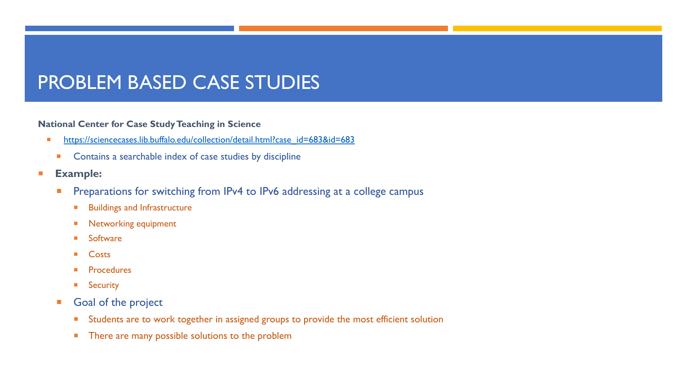## PROBLEM BASED CASE STUDIES

#### **National Center for Case Study Teaching in Science**

- https://sciencecases.lib.buffalo.edu/collection/detail.html?case\_id=683&id=683
	- **Contains a searchable index of case studies by discipline**
- ¡ **Example:**
	- **Preparations for switching from IPv4 to IPv6 addressing at a college campus** 
		- **EXECUTE: Buildings and Infrastructure**
		- **E** Networking equipment
		- **E** Software
		- **Costs**
		- **Procedures**
		- **Security**
	- **Goal of the project** 
		- **EXTERGHTM** Students are to work together in assigned groups to provide the most efficient solution
		- There are many possible solutions to the problem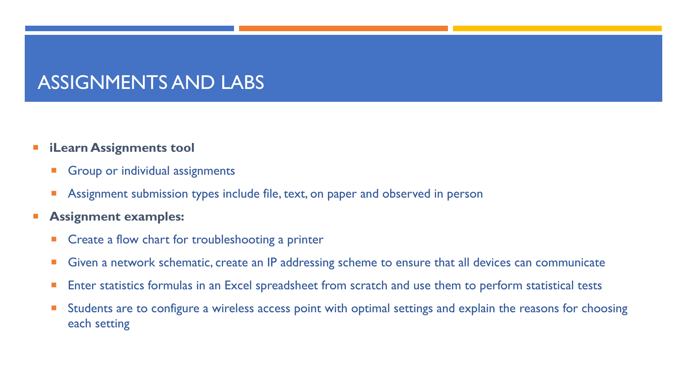### ASSIGNMENTS AND LABS

#### ¡ **iLearn Assignments tool**

- **Group or individual assignments**
- **E** Assignment submission types include file, text, on paper and observed in person
- ¡ **Assignment examples:**
	- Create a flow chart for troubleshooting a printer
	- Given a network schematic, create an IP addressing scheme to ensure that all devices can communicate
	- Enter statistics formulas in an Excel spreadsheet from scratch and use them to perform statistical tests
	- Students are to configure a wireless access point with optimal settings and explain the reasons for choosing each setting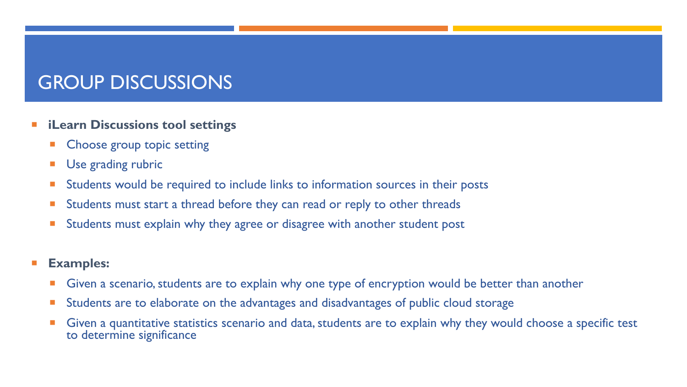## GROUP DISCUSSIONS

- ¡ **iLearn Discussions tool settings**
	- Choose group topic setting
	- **Use grading rubric**
	- Students would be required to include links to information sources in their posts
	- Students must start a thread before they can read or reply to other threads
	- Students must explain why they agree or disagree with another student post
- ¡ **Examples:**
	- **Given a scenario, students are to explain why one type of encryption would be better than another**
	- **EXTE Students are to elaborate on the advantages and disadvantages of public cloud storage**
	- Given a quantitative statistics scenario and data, students are to explain why they would choose a specific test to determine significance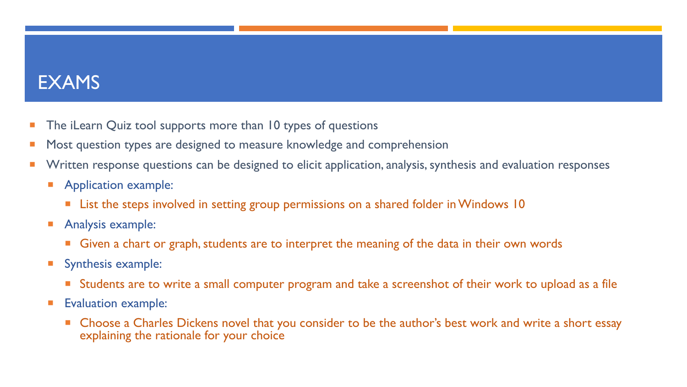### EXAMS

- **The iLearn Quiz tool supports more than 10 types of questions**
- Most question types are designed to measure knowledge and comprehension
- Written response questions can be designed to elicit application, analysis, synthesis and evaluation responses
	- **E** Application example:
		- List the steps involved in setting group permissions on a shared folder in Windows 10
	- **Analysis example:** 
		- Given a chart or graph, students are to interpret the meaning of the data in their own words
	- **Synthesis example:** 
		- Students are to write a small computer program and take a screenshot of their work to upload as a file
	- **Exaluation example:** 
		- Choose a Charles Dickens novel that you consider to be the author's best work and write a short essay explaining the rationale for your choice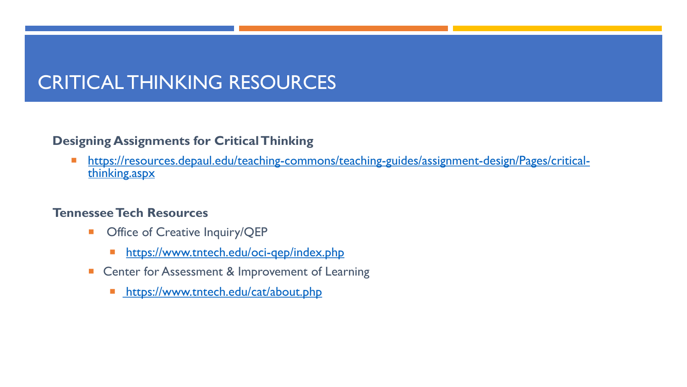## CRITICAL [THINKING RESOURCES](https://www.tntech.edu/oci-qep/index.php)

#### **Designing Assignments for Critical Thinking**

■ https://resources.depaul.edu/teaching-commons/teaching-guides/assigning.aspx

#### **Tennessee Tech Resources**

- **Office of Creative Inquiry/QEP** 
	- https://www.tntech.edu/oci-qep/index.php
- Center for Assessment & Improvement of Learning
	- https://www.tntech.edu/cat/about.php